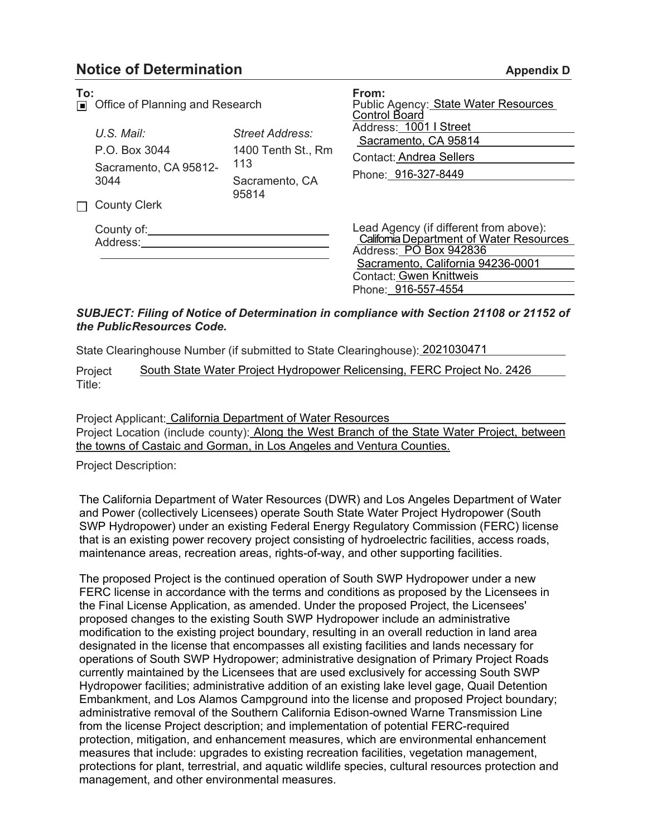## **Notice of Determination**

| <b>Appendix D</b> |
|-------------------|
|-------------------|

| To:<br>同 | Office of Planning and Research                                                       |                                                                         | From:<br>Public Agency: State Water Resources<br>Control Board                                                                                                                                                                                                                                                 |
|----------|---------------------------------------------------------------------------------------|-------------------------------------------------------------------------|----------------------------------------------------------------------------------------------------------------------------------------------------------------------------------------------------------------------------------------------------------------------------------------------------------------|
|          | $U.S.$ Mail:<br>P.O. Box 3044<br>Sacramento, CA 95812-<br>3044<br><b>County Clerk</b> | Street Address:<br>1400 Tenth St., Rm<br>113<br>Sacramento, CA<br>95814 | Address: 1001   Street<br>Sacramento, CA 95814<br><b>Contact: Andrea Sellers</b><br>Phone: 916-327-8449<br>Lead Agency (if different from above):<br>California Department of Water Resources<br>Address: PO Box 942836<br>Sacramento, California 94236-0001<br>Contact: Gwen Knittweis<br>Phone: 916-557-4554 |
|          | County of:<br>Address:                                                                |                                                                         |                                                                                                                                                                                                                                                                                                                |

## *SUBJECT: Filing of Notice of Determination in compliance with Section 21108 or 21152 of the PublicResources Code.*

State Clearinghouse Number (if submitted to State Clearinghouse): 2021030471

Project Title: South State Water Project Hydropower Relicensing, FERC Project No. 2426

Project Applicant: California Department of Water Resources Project Location (include county): Along the West Branch of the State Water Project, between the towns of Castaic and Gorman, in Los Angeles and Ventura Counties.

Project Description:

The California Department of Water Resources (DWR) and Los Angeles Department of Water and Power (collectively Licensees) operate South State Water Project Hydropower (South SWP Hydropower) under an existing Federal Energy Regulatory Commission (FERC) license that is an existing power recovery project consisting of hydroelectric facilities, access roads, maintenance areas, recreation areas, rights-of-way, and other supporting facilities.

The proposed Project is the continued operation of South SWP Hydropower under a new FERC license in accordance with the terms and conditions as proposed by the Licensees in the Final License Application, as amended. Under the proposed Project, the Licensees' proposed changes to the existing South SWP Hydropower include an administrative modification to the existing project boundary, resulting in an overall reduction in land area designated in the license that encompasses all existing facilities and lands necessary for operations of South SWP Hydropower; administrative designation of Primary Project Roads currently maintained by the Licensees that are used exclusively for accessing South SWP Hydropower facilities; administrative addition of an existing lake level gage, Quail Detention Embankment, and Los Alamos Campground into the license and proposed Project boundary; administrative removal of the Southern California Edison-owned Warne Transmission Line from the license Project description; and implementation of potential FERC-required protection, mitigation, and enhancement measures, which are environmental enhancement measures that include: upgrades to existing recreation facilities, vegetation management, protections for plant, terrestrial, and aquatic wildlife species, cultural resources protection and management, and other environmental measures.